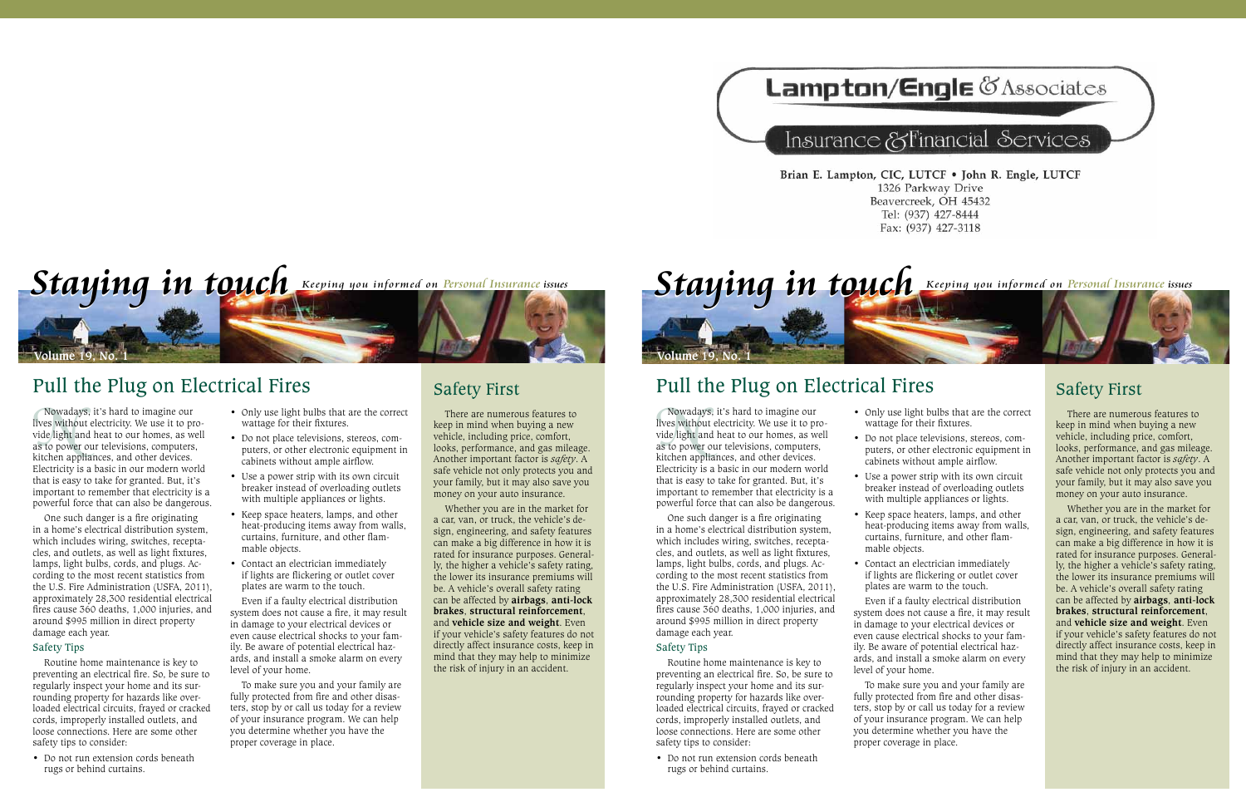## Lampton/Engle & Associates

## Insurance & Financial Services

Brian E. Lampton, CIC, LUTCF . John R. Engle, LUTCF 1326 Parkway Drive Beavercreek, OH 45432 Tel: (937) 427-8444 Fax: (937) 427-3118

*Staying in touch* Keeping you informed on Personal Insurance issues **Volume 19, No. 1**

## Pull the Plug on Electrical Fires

Nowadays, it's hard to imagine our<br>lives without electricity. We use it to pr<br>vide light and heat to our homes, as w<br>as to power our televisions, computers<br>kitchen appliances, and other devices. Nowadays, it's hard to imagine our lives without electricity. We use it to provide light and heat to our homes, as well as to power our televisions, computers, Electricity is a basic in our modern world that is easy to take for granted. But, it's important to remember that electricity is a powerful force that can also be dangerous.

One such danger is a fire originating in a home's electrical distribution system, which includes wiring, switches, receptacles, and outlets, as well as light fixtures, lamps, light bulbs, cords, and plugs. According to the most recent statistics from the U.S. Fire Administration (USFA, 2011), approximately 28,300 residential electrical fires cause 360 deaths, 1,000 injuries, and around \$995 million in direct property damage each year.

#### Safety Tips

Routine home maintenance is key to preventing an electrical fire. So, be sure to regularly inspect your home and its surrounding property for hazards like overloaded electrical circuits, frayed or cracked cords, improperly installed outlets, and loose connections. Here are some other safety tips to consider:

• Do not run extension cords beneath rugs or behind curtains.

- Only use light bulbs that are the correct wattage for their fixtures.
- • Do not place televisions, stereos, computers, or other electronic equipment in cabinets without ample airflow.
- Use a power strip with its own circuit breaker instead of overloading outlets with multiple appliances or lights.
- • Keep space heaters, lamps, and other heat-producing items away from walls, curtains, furniture, and other flammable objects.
- Contact an electrician immediately if lights are flickering or outlet cover plates are warm to the touch.

Even if a faulty electrical distribution system does not cause a fire, it may result in damage to your electrical devices or even cause electrical shocks to your family. Be aware of potential electrical hazards, and install a smoke alarm on every level of your home.

To make sure you and your family are fully protected from fire and other disasters, stop by or call us today for a review of your insurance program. We can help you determine whether you have the proper coverage in place.

## Safety First

There are numerous features to keep in mind when buying a new vehicle, including price, comfort, looks, performance, and gas mileage. Another important factor is *safety*. A safe vehicle not only protects you and your family, but it may also save you money on your auto insurance.

Whether you are in the market for a car, van, or truck, the vehicle's design, engineering, and safety features can make a big difference in how it is rated for insurance purposes. Generally, the higher a vehicle's safety rating, the lower its insurance premiums will be. A vehicle's overall safety rating can be affected by **airbags**, **anti-lock brakes**, **structural reinforcement**, and **vehicle size and weight**. Even if your vehicle's safety features do not directly affect insurance costs, keep in mind that they may help to minimize the risk of injury in an accident.